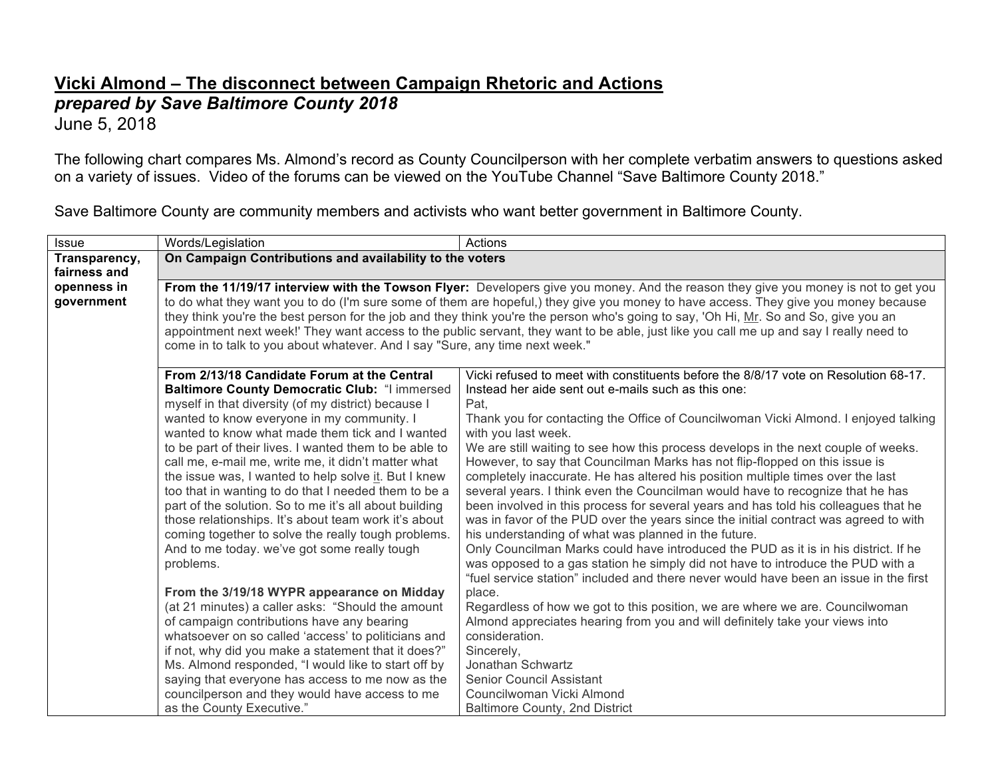## **Vicki Almond – The disconnect between Campaign Rhetoric and Actions** *prepared by Save Baltimore County 2018*

June 5, 2018

The following chart compares Ms. Almond's record as County Councilperson with her complete verbatim answers to questions asked on a variety of issues. Video of the forums can be viewed on the YouTube Channel "Save Baltimore County 2018."

Save Baltimore County are community members and activists who want better government in Baltimore County.

| <b>Issue</b>  | Words/Legislation                                                                                                                       | Actions                                                                                                                                                           |
|---------------|-----------------------------------------------------------------------------------------------------------------------------------------|-------------------------------------------------------------------------------------------------------------------------------------------------------------------|
| Transparency, | On Campaign Contributions and availability to the voters                                                                                |                                                                                                                                                                   |
| fairness and  |                                                                                                                                         |                                                                                                                                                                   |
| openness in   | From the 11/19/17 interview with the Towson Flyer: Developers give you money. And the reason they give you money is not to get you      |                                                                                                                                                                   |
| government    | to do what they want you to do (I'm sure some of them are hopeful,) they give you money to have access. They give you money because     |                                                                                                                                                                   |
|               | they think you're the best person for the job and they think you're the person who's going to say, 'Oh Hi, Mr. So and So, give you an   |                                                                                                                                                                   |
|               | appointment next week!' They want access to the public servant, they want to be able, just like you call me up and say I really need to |                                                                                                                                                                   |
|               | come in to talk to you about whatever. And I say "Sure, any time next week."                                                            |                                                                                                                                                                   |
|               |                                                                                                                                         |                                                                                                                                                                   |
|               | From 2/13/18 Candidate Forum at the Central                                                                                             | Vicki refused to meet with constituents before the 8/8/17 vote on Resolution 68-17.                                                                               |
|               | Baltimore County Democratic Club: "I immersed                                                                                           | Instead her aide sent out e-mails such as this one:                                                                                                               |
|               | myself in that diversity (of my district) because I                                                                                     | Pat.                                                                                                                                                              |
|               | wanted to know everyone in my community. I                                                                                              | Thank you for contacting the Office of Councilwoman Vicki Almond. I enjoyed talking                                                                               |
|               | wanted to know what made them tick and I wanted                                                                                         | with you last week.                                                                                                                                               |
|               | to be part of their lives. I wanted them to be able to<br>call me, e-mail me, write me, it didn't matter what                           | We are still waiting to see how this process develops in the next couple of weeks.<br>However, to say that Councilman Marks has not flip-flopped on this issue is |
|               | the issue was, I wanted to help solve it. But I knew                                                                                    | completely inaccurate. He has altered his position multiple times over the last                                                                                   |
|               | too that in wanting to do that I needed them to be a                                                                                    | several years. I think even the Councilman would have to recognize that he has                                                                                    |
|               | part of the solution. So to me it's all about building                                                                                  | been involved in this process for several years and has told his colleagues that he                                                                               |
|               | those relationships. It's about team work it's about                                                                                    | was in favor of the PUD over the years since the initial contract was agreed to with                                                                              |
|               | coming together to solve the really tough problems.                                                                                     | his understanding of what was planned in the future.                                                                                                              |
|               | And to me today, we've got some really tough                                                                                            | Only Councilman Marks could have introduced the PUD as it is in his district. If he                                                                               |
|               | problems.                                                                                                                               | was opposed to a gas station he simply did not have to introduce the PUD with a                                                                                   |
|               |                                                                                                                                         | "fuel service station" included and there never would have been an issue in the first                                                                             |
|               | From the 3/19/18 WYPR appearance on Midday                                                                                              | place.                                                                                                                                                            |
|               | (at 21 minutes) a caller asks: "Should the amount                                                                                       | Regardless of how we got to this position, we are where we are. Councilwoman                                                                                      |
|               | of campaign contributions have any bearing                                                                                              | Almond appreciates hearing from you and will definitely take your views into                                                                                      |
|               | whatsoever on so called 'access' to politicians and                                                                                     | consideration.                                                                                                                                                    |
|               | if not, why did you make a statement that it does?"                                                                                     | Sincerely,                                                                                                                                                        |
|               | Ms. Almond responded, "I would like to start off by                                                                                     | Jonathan Schwartz                                                                                                                                                 |
|               | saying that everyone has access to me now as the                                                                                        | <b>Senior Council Assistant</b>                                                                                                                                   |
|               | councilperson and they would have access to me                                                                                          | Councilwoman Vicki Almond                                                                                                                                         |
|               | as the County Executive."                                                                                                               | <b>Baltimore County, 2nd District</b>                                                                                                                             |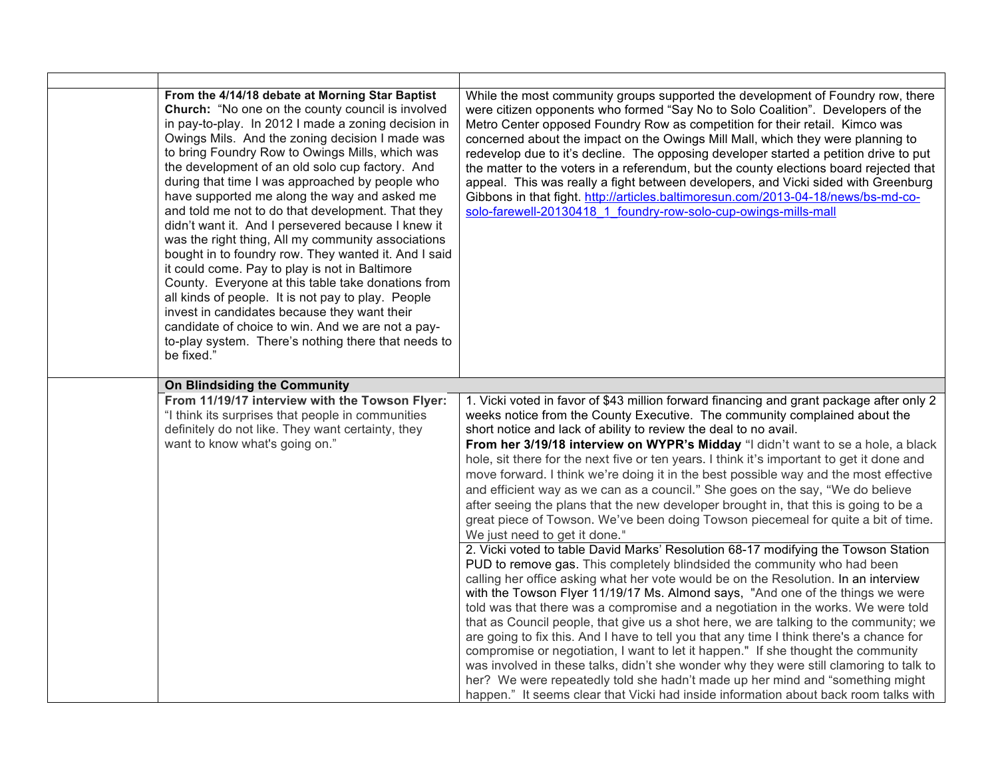| From the 4/14/18 debate at Morning Star Baptist<br>Church: "No one on the county council is involved<br>in pay-to-play. In 2012 I made a zoning decision in<br>Owings Mils. And the zoning decision I made was<br>to bring Foundry Row to Owings Mills, which was<br>the development of an old solo cup factory. And<br>during that time I was approached by people who<br>have supported me along the way and asked me<br>and told me not to do that development. That they<br>didn't want it. And I persevered because I knew it<br>was the right thing, All my community associations<br>bought in to foundry row. They wanted it. And I said<br>it could come. Pay to play is not in Baltimore<br>County. Everyone at this table take donations from<br>all kinds of people. It is not pay to play. People<br>invest in candidates because they want their<br>candidate of choice to win. And we are not a pay-<br>to-play system. There's nothing there that needs to<br>be fixed." | While the most community groups supported the development of Foundry row, there<br>were citizen opponents who formed "Say No to Solo Coalition". Developers of the<br>Metro Center opposed Foundry Row as competition for their retail. Kimco was<br>concerned about the impact on the Owings Mill Mall, which they were planning to<br>redevelop due to it's decline. The opposing developer started a petition drive to put<br>the matter to the voters in a referendum, but the county elections board rejected that<br>appeal. This was really a fight between developers, and Vicki sided with Greenburg<br>Gibbons in that fight. http://articles.baltimoresun.com/2013-04-18/news/bs-md-co-<br>solo-farewell-20130418 1 foundry-row-solo-cup-owings-mills-mall                                                                                                                                                                                                      |
|------------------------------------------------------------------------------------------------------------------------------------------------------------------------------------------------------------------------------------------------------------------------------------------------------------------------------------------------------------------------------------------------------------------------------------------------------------------------------------------------------------------------------------------------------------------------------------------------------------------------------------------------------------------------------------------------------------------------------------------------------------------------------------------------------------------------------------------------------------------------------------------------------------------------------------------------------------------------------------------|----------------------------------------------------------------------------------------------------------------------------------------------------------------------------------------------------------------------------------------------------------------------------------------------------------------------------------------------------------------------------------------------------------------------------------------------------------------------------------------------------------------------------------------------------------------------------------------------------------------------------------------------------------------------------------------------------------------------------------------------------------------------------------------------------------------------------------------------------------------------------------------------------------------------------------------------------------------------------|
| On Blindsiding the Community                                                                                                                                                                                                                                                                                                                                                                                                                                                                                                                                                                                                                                                                                                                                                                                                                                                                                                                                                             |                                                                                                                                                                                                                                                                                                                                                                                                                                                                                                                                                                                                                                                                                                                                                                                                                                                                                                                                                                            |
| From 11/19/17 interview with the Towson Flyer:<br>"I think its surprises that people in communities<br>definitely do not like. They want certainty, they<br>want to know what's going on."                                                                                                                                                                                                                                                                                                                                                                                                                                                                                                                                                                                                                                                                                                                                                                                               | 1. Vicki voted in favor of \$43 million forward financing and grant package after only 2<br>weeks notice from the County Executive. The community complained about the<br>short notice and lack of ability to review the deal to no avail.<br>From her 3/19/18 interview on WYPR's Midday "I didn't want to se a hole, a black<br>hole, sit there for the next five or ten years. I think it's important to get it done and<br>move forward. I think we're doing it in the best possible way and the most effective<br>and efficient way as we can as a council." She goes on the say, "We do believe<br>after seeing the plans that the new developer brought in, that this is going to be a<br>great piece of Towson. We've been doing Towson piecemeal for quite a bit of time.<br>We just need to get it done."                                                                                                                                                        |
|                                                                                                                                                                                                                                                                                                                                                                                                                                                                                                                                                                                                                                                                                                                                                                                                                                                                                                                                                                                          | 2. Vicki voted to table David Marks' Resolution 68-17 modifying the Towson Station<br>PUD to remove gas. This completely blindsided the community who had been<br>calling her office asking what her vote would be on the Resolution. In an interview<br>with the Towson Flyer 11/19/17 Ms. Almond says, "And one of the things we were<br>told was that there was a compromise and a negotiation in the works. We were told<br>that as Council people, that give us a shot here, we are talking to the community; we<br>are going to fix this. And I have to tell you that any time I think there's a chance for<br>compromise or negotiation, I want to let it happen." If she thought the community<br>was involved in these talks, didn't she wonder why they were still clamoring to talk to<br>her? We were repeatedly told she hadn't made up her mind and "something might<br>happen." It seems clear that Vicki had inside information about back room talks with |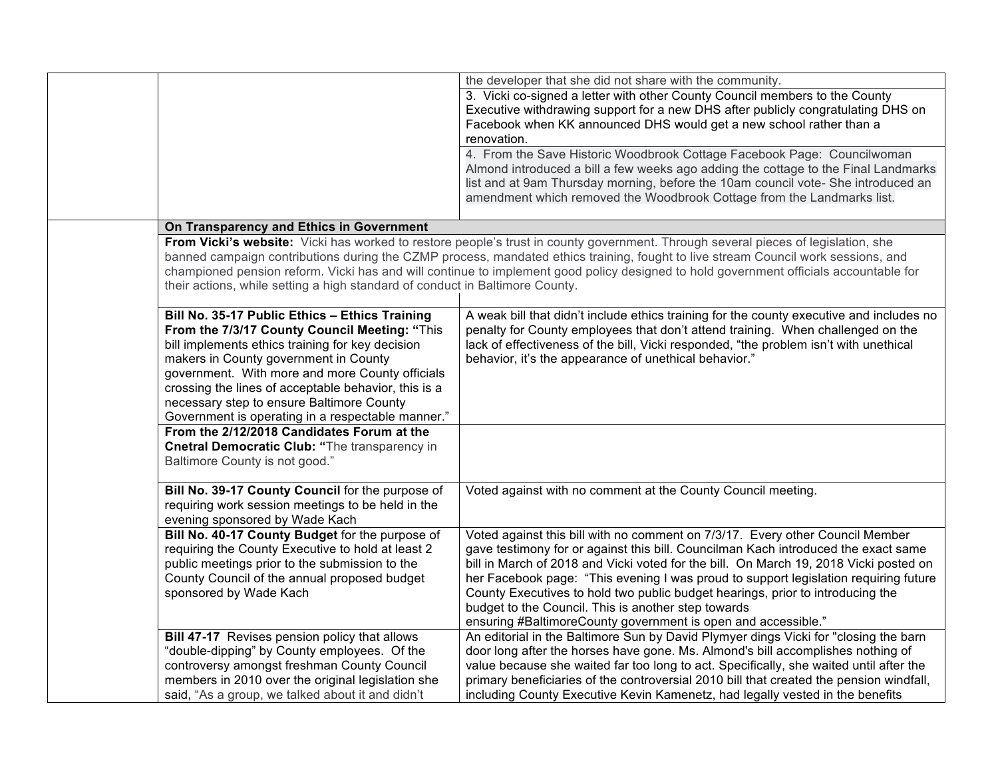|                                                                              | the developer that she did not share with the community.                                                                              |
|------------------------------------------------------------------------------|---------------------------------------------------------------------------------------------------------------------------------------|
|                                                                              | 3. Vicki co-signed a letter with other County Council members to the County                                                           |
|                                                                              | Executive withdrawing support for a new DHS after publicly congratulating DHS on                                                      |
|                                                                              | Facebook when KK announced DHS would get a new school rather than a                                                                   |
|                                                                              | renovation.                                                                                                                           |
|                                                                              | 4. From the Save Historic Woodbrook Cottage Facebook Page: Councilwoman                                                               |
|                                                                              | Almond introduced a bill a few weeks ago adding the cottage to the Final Landmarks                                                    |
|                                                                              | list and at 9am Thursday morning, before the 10am council vote- She introduced an                                                     |
|                                                                              |                                                                                                                                       |
|                                                                              | amendment which removed the Woodbrook Cottage from the Landmarks list.                                                                |
|                                                                              |                                                                                                                                       |
| On Transparency and Ethics in Government                                     |                                                                                                                                       |
|                                                                              | From Vicki's website: Vicki has worked to restore people's trust in county government. Through several pieces of legislation, she     |
|                                                                              | banned campaign contributions during the CZMP process, mandated ethics training, fought to live stream Council work sessions, and     |
|                                                                              | championed pension reform. Vicki has and will continue to implement good policy designed to hold government officials accountable for |
| their actions, while setting a high standard of conduct in Baltimore County. |                                                                                                                                       |
|                                                                              |                                                                                                                                       |
| Bill No. 35-17 Public Ethics - Ethics Training                               | A weak bill that didn't include ethics training for the county executive and includes no                                              |
| From the 7/3/17 County Council Meeting: "This                                | penalty for County employees that don't attend training. When challenged on the                                                       |
| bill implements ethics training for key decision                             | lack of effectiveness of the bill, Vicki responded, "the problem isn't with unethical                                                 |
|                                                                              |                                                                                                                                       |
| makers in County government in County                                        | behavior, it's the appearance of unethical behavior."                                                                                 |
| government. With more and more County officials                              |                                                                                                                                       |
| crossing the lines of acceptable behavior, this is a                         |                                                                                                                                       |
| necessary step to ensure Baltimore County                                    |                                                                                                                                       |
| Government is operating in a respectable manner."                            |                                                                                                                                       |
| From the 2/12/2018 Candidates Forum at the                                   |                                                                                                                                       |
| Cnetral Democratic Club: "The transparency in                                |                                                                                                                                       |
| Baltimore County is not good."                                               |                                                                                                                                       |
|                                                                              |                                                                                                                                       |
| Bill No. 39-17 County Council for the purpose of                             | Voted against with no comment at the County Council meeting.                                                                          |
| requiring work session meetings to be held in the                            |                                                                                                                                       |
|                                                                              |                                                                                                                                       |
| evening sponsored by Wade Kach                                               |                                                                                                                                       |
| Bill No. 40-17 County Budget for the purpose of                              | Voted against this bill with no comment on 7/3/17. Every other Council Member                                                         |
| requiring the County Executive to hold at least 2                            | gave testimony for or against this bill. Councilman Kach introduced the exact same                                                    |
| public meetings prior to the submission to the                               | bill in March of 2018 and Vicki voted for the bill. On March 19, 2018 Vicki posted on                                                 |
| County Council of the annual proposed budget                                 | her Facebook page: "This evening I was proud to support legislation requiring future                                                  |
| sponsored by Wade Kach                                                       | County Executives to hold two public budget hearings, prior to introducing the                                                        |
|                                                                              | budget to the Council. This is another step towards                                                                                   |
|                                                                              | ensuring #BaltimoreCounty government is open and accessible."                                                                         |
| Bill 47-17 Revises pension policy that allows                                | An editorial in the Baltimore Sun by David Plymyer dings Vicki for "closing the barn                                                  |
| "double-dipping" by County employees. Of the                                 | door long after the horses have gone. Ms. Almond's bill accomplishes nothing of                                                       |
| controversy amongst freshman County Council                                  | value because she waited far too long to act. Specifically, she waited until after the                                                |
|                                                                              |                                                                                                                                       |
| members in 2010 over the original legislation she                            | primary beneficiaries of the controversial 2010 bill that created the pension windfall,                                               |
| said, "As a group, we talked about it and didn't                             | including County Executive Kevin Kamenetz, had legally vested in the benefits                                                         |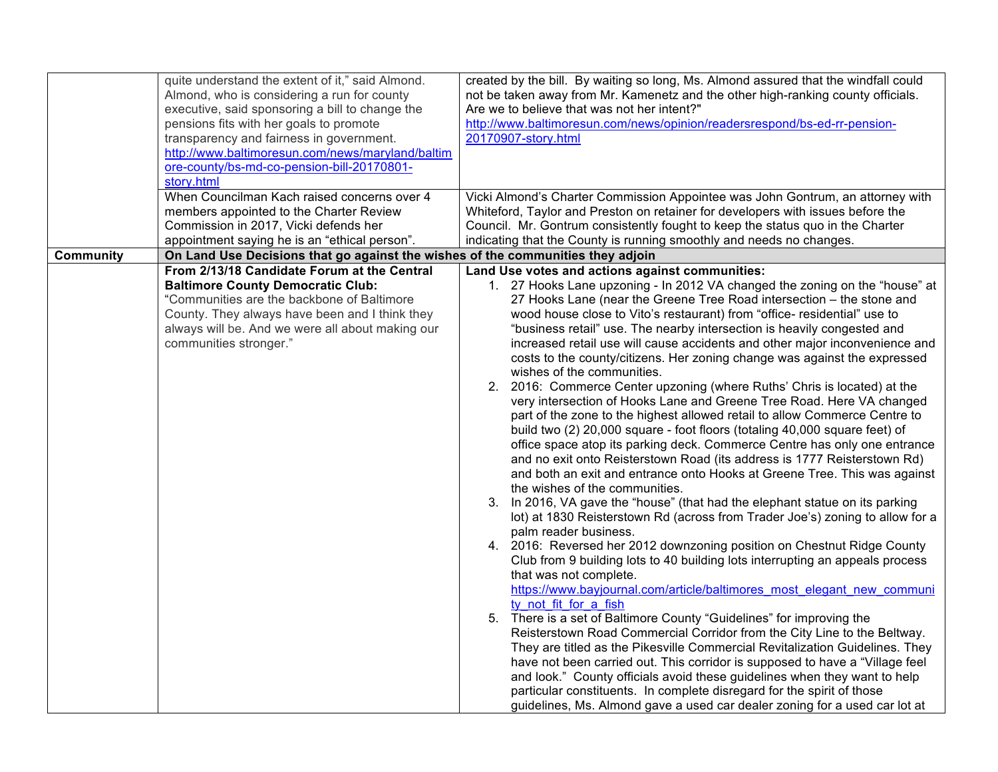|                  | quite understand the extent of it," said Almond.<br>Almond, who is considering a run for county<br>executive, said sponsoring a bill to change the<br>pensions fits with her goals to promote<br>transparency and fairness in government.<br>http://www.baltimoresun.com/news/maryland/baltim<br>ore-county/bs-md-co-pension-bill-20170801-<br>story.html<br>When Councilman Kach raised concerns over 4<br>members appointed to the Charter Review<br>Commission in 2017, Vicki defends her | created by the bill. By waiting so long, Ms. Almond assured that the windfall could<br>not be taken away from Mr. Kamenetz and the other high-ranking county officials.<br>Are we to believe that was not her intent?"<br>http://www.baltimoresun.com/news/opinion/readersrespond/bs-ed-rr-pension-<br>20170907-story.html<br>Vicki Almond's Charter Commission Appointee was John Gontrum, an attorney with<br>Whiteford, Taylor and Preston on retainer for developers with issues before the<br>Council. Mr. Gontrum consistently fought to keep the status quo in the Charter                                                                                                                                                                                                                                                                                                                                                                                                                                                                                                                                                                                                                                                                                                                                                                                                                                                                                                                                                                                                                                                                                                                                                                                                                                                                                                                                                                                                                                                                                                                                                                                                                   |
|------------------|----------------------------------------------------------------------------------------------------------------------------------------------------------------------------------------------------------------------------------------------------------------------------------------------------------------------------------------------------------------------------------------------------------------------------------------------------------------------------------------------|-----------------------------------------------------------------------------------------------------------------------------------------------------------------------------------------------------------------------------------------------------------------------------------------------------------------------------------------------------------------------------------------------------------------------------------------------------------------------------------------------------------------------------------------------------------------------------------------------------------------------------------------------------------------------------------------------------------------------------------------------------------------------------------------------------------------------------------------------------------------------------------------------------------------------------------------------------------------------------------------------------------------------------------------------------------------------------------------------------------------------------------------------------------------------------------------------------------------------------------------------------------------------------------------------------------------------------------------------------------------------------------------------------------------------------------------------------------------------------------------------------------------------------------------------------------------------------------------------------------------------------------------------------------------------------------------------------------------------------------------------------------------------------------------------------------------------------------------------------------------------------------------------------------------------------------------------------------------------------------------------------------------------------------------------------------------------------------------------------------------------------------------------------------------------------------------------------|
|                  | appointment saying he is an "ethical person".                                                                                                                                                                                                                                                                                                                                                                                                                                                | indicating that the County is running smoothly and needs no changes.                                                                                                                                                                                                                                                                                                                                                                                                                                                                                                                                                                                                                                                                                                                                                                                                                                                                                                                                                                                                                                                                                                                                                                                                                                                                                                                                                                                                                                                                                                                                                                                                                                                                                                                                                                                                                                                                                                                                                                                                                                                                                                                                |
| <b>Community</b> | On Land Use Decisions that go against the wishes of the communities they adjoin                                                                                                                                                                                                                                                                                                                                                                                                              |                                                                                                                                                                                                                                                                                                                                                                                                                                                                                                                                                                                                                                                                                                                                                                                                                                                                                                                                                                                                                                                                                                                                                                                                                                                                                                                                                                                                                                                                                                                                                                                                                                                                                                                                                                                                                                                                                                                                                                                                                                                                                                                                                                                                     |
|                  | From 2/13/18 Candidate Forum at the Central<br><b>Baltimore County Democratic Club:</b><br>"Communities are the backbone of Baltimore<br>County. They always have been and I think they<br>always will be. And we were all about making our<br>communities stronger."                                                                                                                                                                                                                        | Land Use votes and actions against communities:<br>1. 27 Hooks Lane upzoning - In 2012 VA changed the zoning on the "house" at<br>27 Hooks Lane (near the Greene Tree Road intersection - the stone and<br>wood house close to Vito's restaurant) from "office- residential" use to<br>"business retail" use. The nearby intersection is heavily congested and<br>increased retail use will cause accidents and other major inconvenience and<br>costs to the county/citizens. Her zoning change was against the expressed<br>wishes of the communities.<br>2.<br>2016: Commerce Center upzoning (where Ruths' Chris is located) at the<br>very intersection of Hooks Lane and Greene Tree Road. Here VA changed<br>part of the zone to the highest allowed retail to allow Commerce Centre to<br>build two (2) 20,000 square - foot floors (totaling 40,000 square feet) of<br>office space atop its parking deck. Commerce Centre has only one entrance<br>and no exit onto Reisterstown Road (its address is 1777 Reisterstown Rd)<br>and both an exit and entrance onto Hooks at Greene Tree. This was against<br>the wishes of the communities.<br>In 2016, VA gave the "house" (that had the elephant statue on its parking<br>3.<br>lot) at 1830 Reisterstown Rd (across from Trader Joe's) zoning to allow for a<br>palm reader business.<br>4. 2016: Reversed her 2012 downzoning position on Chestnut Ridge County<br>Club from 9 building lots to 40 building lots interrupting an appeals process<br>that was not complete.<br>https://www.bayjournal.com/article/baltimores most elegant new communi<br>ty not fit for a fish<br>5. There is a set of Baltimore County "Guidelines" for improving the<br>Reisterstown Road Commercial Corridor from the City Line to the Beltway.<br>They are titled as the Pikesville Commercial Revitalization Guidelines. They<br>have not been carried out. This corridor is supposed to have a "Village feel<br>and look." County officials avoid these guidelines when they want to help<br>particular constituents. In complete disregard for the spirit of those<br>guidelines, Ms. Almond gave a used car dealer zoning for a used car lot at |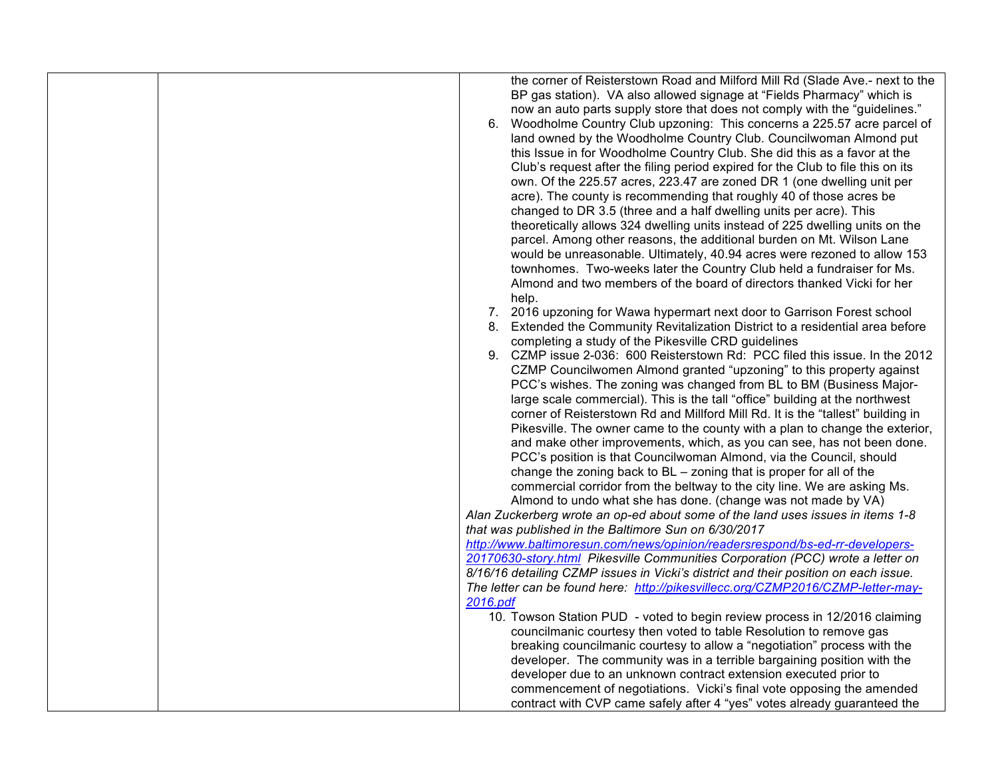| the corner of Reisterstown Road and Milford Mill Rd (Slade Ave.- next to the<br>BP gas station). VA also allowed signage at "Fields Pharmacy" which is<br>now an auto parts supply store that does not comply with the "guidelines."<br>Woodholme Country Club upzoning: This concerns a 225.57 acre parcel of<br>6.<br>land owned by the Woodholme Country Club. Councilwoman Almond put<br>this Issue in for Woodholme Country Club. She did this as a favor at the<br>Club's request after the filing period expired for the Club to file this on its<br>own. Of the 225.57 acres, 223.47 are zoned DR 1 (one dwelling unit per<br>acre). The county is recommending that roughly 40 of those acres be<br>changed to DR 3.5 (three and a half dwelling units per acre). This<br>theoretically allows 324 dwelling units instead of 225 dwelling units on the<br>parcel. Among other reasons, the additional burden on Mt. Wilson Lane<br>would be unreasonable. Ultimately, 40.94 acres were rezoned to allow 153<br>townhomes. Two-weeks later the Country Club held a fundraiser for Ms.<br>Almond and two members of the board of directors thanked Vicki for her<br>help.<br>2016 upzoning for Wawa hypermart next door to Garrison Forest school<br>7.<br>8. Extended the Community Revitalization District to a residential area before<br>completing a study of the Pikesville CRD guidelines<br>CZMP issue 2-036: 600 Reisterstown Rd: PCC filed this issue. In the 2012<br>9.<br>CZMP Councilwomen Almond granted "upzoning" to this property against<br>PCC's wishes. The zoning was changed from BL to BM (Business Major-<br>large scale commercial). This is the tall "office" building at the northwest<br>corner of Reisterstown Rd and Millford Mill Rd. It is the "tallest" building in<br>Pikesville. The owner came to the county with a plan to change the exterior,<br>and make other improvements, which, as you can see, has not been done.<br>PCC's position is that Councilwoman Almond, via the Council, should<br>change the zoning back to BL – zoning that is proper for all of the<br>commercial corridor from the beltway to the city line. We are asking Ms.<br>Almond to undo what she has done. (change was not made by VA)<br>Alan Zuckerberg wrote an op-ed about some of the land uses issues in items 1-8<br>that was published in the Baltimore Sun on 6/30/2017<br>http://www.baltimoresun.com/news/opinion/readersrespond/bs-ed-rr-developers-<br>20170630-story.html Pikesville Communities Corporation (PCC) wrote a letter on<br>8/16/16 detailing CZMP issues in Vicki's district and their position on each issue.<br>The letter can be found here: http://pikesvillecc.org/CZMP2016/CZMP-letter-may-<br>2016.pdf<br>10. Towson Station PUD - voted to begin review process in 12/2016 claiming |
|--------------------------------------------------------------------------------------------------------------------------------------------------------------------------------------------------------------------------------------------------------------------------------------------------------------------------------------------------------------------------------------------------------------------------------------------------------------------------------------------------------------------------------------------------------------------------------------------------------------------------------------------------------------------------------------------------------------------------------------------------------------------------------------------------------------------------------------------------------------------------------------------------------------------------------------------------------------------------------------------------------------------------------------------------------------------------------------------------------------------------------------------------------------------------------------------------------------------------------------------------------------------------------------------------------------------------------------------------------------------------------------------------------------------------------------------------------------------------------------------------------------------------------------------------------------------------------------------------------------------------------------------------------------------------------------------------------------------------------------------------------------------------------------------------------------------------------------------------------------------------------------------------------------------------------------------------------------------------------------------------------------------------------------------------------------------------------------------------------------------------------------------------------------------------------------------------------------------------------------------------------------------------------------------------------------------------------------------------------------------------------------------------------------------------------------------------------------------------------------------------------------------------------------------------------------------------------------------------------------------------------------------------------------------------------------------------------------------------------------------------------------------------------------------------------------------------------------------------|
|                                                                                                                                                                                                                                                                                                                                                                                                                                                                                                                                                                                                                                                                                                                                                                                                                                                                                                                                                                                                                                                                                                                                                                                                                                                                                                                                                                                                                                                                                                                                                                                                                                                                                                                                                                                                                                                                                                                                                                                                                                                                                                                                                                                                                                                                                                                                                                                                                                                                                                                                                                                                                                                                                                                                                                                                                                                  |
|                                                                                                                                                                                                                                                                                                                                                                                                                                                                                                                                                                                                                                                                                                                                                                                                                                                                                                                                                                                                                                                                                                                                                                                                                                                                                                                                                                                                                                                                                                                                                                                                                                                                                                                                                                                                                                                                                                                                                                                                                                                                                                                                                                                                                                                                                                                                                                                                                                                                                                                                                                                                                                                                                                                                                                                                                                                  |
|                                                                                                                                                                                                                                                                                                                                                                                                                                                                                                                                                                                                                                                                                                                                                                                                                                                                                                                                                                                                                                                                                                                                                                                                                                                                                                                                                                                                                                                                                                                                                                                                                                                                                                                                                                                                                                                                                                                                                                                                                                                                                                                                                                                                                                                                                                                                                                                                                                                                                                                                                                                                                                                                                                                                                                                                                                                  |
|                                                                                                                                                                                                                                                                                                                                                                                                                                                                                                                                                                                                                                                                                                                                                                                                                                                                                                                                                                                                                                                                                                                                                                                                                                                                                                                                                                                                                                                                                                                                                                                                                                                                                                                                                                                                                                                                                                                                                                                                                                                                                                                                                                                                                                                                                                                                                                                                                                                                                                                                                                                                                                                                                                                                                                                                                                                  |
| councilmanic courtesy then voted to table Resolution to remove gas                                                                                                                                                                                                                                                                                                                                                                                                                                                                                                                                                                                                                                                                                                                                                                                                                                                                                                                                                                                                                                                                                                                                                                                                                                                                                                                                                                                                                                                                                                                                                                                                                                                                                                                                                                                                                                                                                                                                                                                                                                                                                                                                                                                                                                                                                                                                                                                                                                                                                                                                                                                                                                                                                                                                                                               |
| breaking councilmanic courtesy to allow a "negotiation" process with the                                                                                                                                                                                                                                                                                                                                                                                                                                                                                                                                                                                                                                                                                                                                                                                                                                                                                                                                                                                                                                                                                                                                                                                                                                                                                                                                                                                                                                                                                                                                                                                                                                                                                                                                                                                                                                                                                                                                                                                                                                                                                                                                                                                                                                                                                                                                                                                                                                                                                                                                                                                                                                                                                                                                                                         |
| developer. The community was in a terrible bargaining position with the                                                                                                                                                                                                                                                                                                                                                                                                                                                                                                                                                                                                                                                                                                                                                                                                                                                                                                                                                                                                                                                                                                                                                                                                                                                                                                                                                                                                                                                                                                                                                                                                                                                                                                                                                                                                                                                                                                                                                                                                                                                                                                                                                                                                                                                                                                                                                                                                                                                                                                                                                                                                                                                                                                                                                                          |
| developer due to an unknown contract extension executed prior to                                                                                                                                                                                                                                                                                                                                                                                                                                                                                                                                                                                                                                                                                                                                                                                                                                                                                                                                                                                                                                                                                                                                                                                                                                                                                                                                                                                                                                                                                                                                                                                                                                                                                                                                                                                                                                                                                                                                                                                                                                                                                                                                                                                                                                                                                                                                                                                                                                                                                                                                                                                                                                                                                                                                                                                 |
| commencement of negotiations. Vicki's final vote opposing the amended<br>contract with CVP came safely after 4 "yes" votes already guaranteed the                                                                                                                                                                                                                                                                                                                                                                                                                                                                                                                                                                                                                                                                                                                                                                                                                                                                                                                                                                                                                                                                                                                                                                                                                                                                                                                                                                                                                                                                                                                                                                                                                                                                                                                                                                                                                                                                                                                                                                                                                                                                                                                                                                                                                                                                                                                                                                                                                                                                                                                                                                                                                                                                                                |
|                                                                                                                                                                                                                                                                                                                                                                                                                                                                                                                                                                                                                                                                                                                                                                                                                                                                                                                                                                                                                                                                                                                                                                                                                                                                                                                                                                                                                                                                                                                                                                                                                                                                                                                                                                                                                                                                                                                                                                                                                                                                                                                                                                                                                                                                                                                                                                                                                                                                                                                                                                                                                                                                                                                                                                                                                                                  |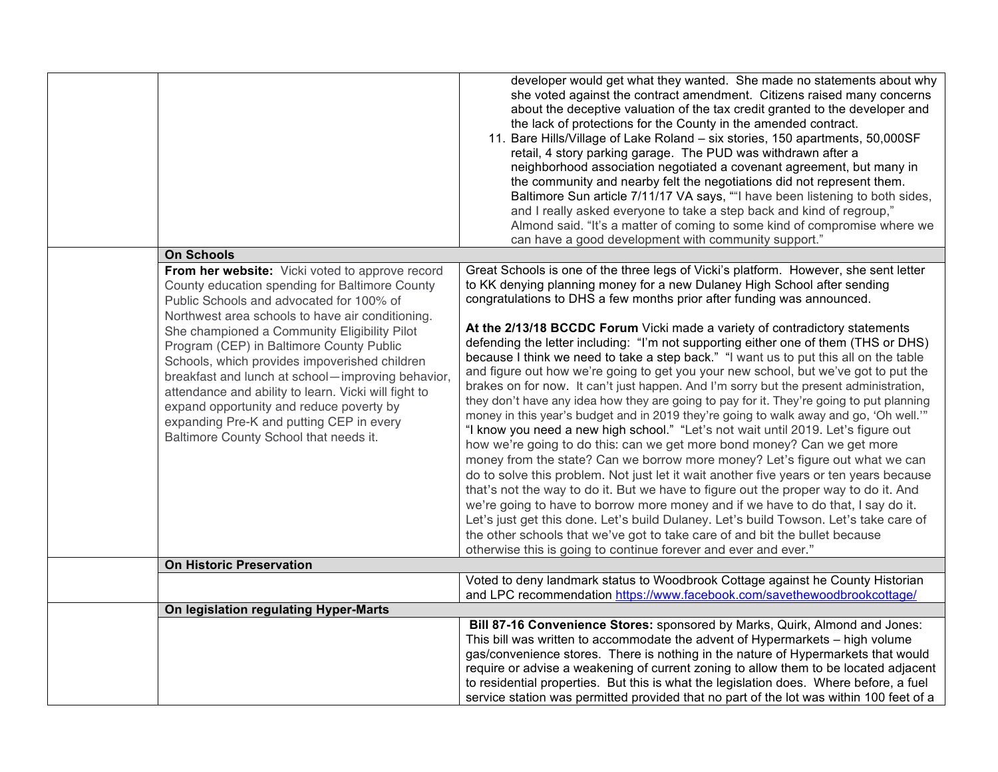|                                                                                                                                                                                                                                                                                                                                                                                                                                              | developer would get what they wanted. She made no statements about why<br>she voted against the contract amendment. Citizens raised many concerns<br>about the deceptive valuation of the tax credit granted to the developer and<br>the lack of protections for the County in the amended contract.<br>11. Bare Hills/Village of Lake Roland - six stories, 150 apartments, 50,000SF<br>retail, 4 story parking garage. The PUD was withdrawn after a<br>neighborhood association negotiated a covenant agreement, but many in<br>the community and nearby felt the negotiations did not represent them.<br>Baltimore Sun article 7/11/17 VA says, ""I have been listening to both sides,<br>and I really asked everyone to take a step back and kind of regroup,"<br>Almond said. "It's a matter of coming to some kind of compromise where we<br>can have a good development with community support."                                                                                                                                                                                                                                                                                                                                                                                                                                                                                           |
|----------------------------------------------------------------------------------------------------------------------------------------------------------------------------------------------------------------------------------------------------------------------------------------------------------------------------------------------------------------------------------------------------------------------------------------------|----------------------------------------------------------------------------------------------------------------------------------------------------------------------------------------------------------------------------------------------------------------------------------------------------------------------------------------------------------------------------------------------------------------------------------------------------------------------------------------------------------------------------------------------------------------------------------------------------------------------------------------------------------------------------------------------------------------------------------------------------------------------------------------------------------------------------------------------------------------------------------------------------------------------------------------------------------------------------------------------------------------------------------------------------------------------------------------------------------------------------------------------------------------------------------------------------------------------------------------------------------------------------------------------------------------------------------------------------------------------------------------------------|
| <b>On Schools</b>                                                                                                                                                                                                                                                                                                                                                                                                                            |                                                                                                                                                                                                                                                                                                                                                                                                                                                                                                                                                                                                                                                                                                                                                                                                                                                                                                                                                                                                                                                                                                                                                                                                                                                                                                                                                                                                    |
| From her website: Vicki voted to approve record<br>County education spending for Baltimore County<br>Public Schools and advocated for 100% of                                                                                                                                                                                                                                                                                                | Great Schools is one of the three legs of Vicki's platform. However, she sent letter<br>to KK denying planning money for a new Dulaney High School after sending<br>congratulations to DHS a few months prior after funding was announced.                                                                                                                                                                                                                                                                                                                                                                                                                                                                                                                                                                                                                                                                                                                                                                                                                                                                                                                                                                                                                                                                                                                                                         |
| Northwest area schools to have air conditioning.<br>She championed a Community Eligibility Pilot<br>Program (CEP) in Baltimore County Public<br>Schools, which provides impoverished children<br>breakfast and lunch at school-improving behavior,<br>attendance and ability to learn. Vicki will fight to<br>expand opportunity and reduce poverty by<br>expanding Pre-K and putting CEP in every<br>Baltimore County School that needs it. | At the 2/13/18 BCCDC Forum Vicki made a variety of contradictory statements<br>defending the letter including: "I'm not supporting either one of them (THS or DHS)<br>because I think we need to take a step back." "I want us to put this all on the table<br>and figure out how we're going to get you your new school, but we've got to put the<br>brakes on for now. It can't just happen. And I'm sorry but the present administration,<br>they don't have any idea how they are going to pay for it. They're going to put planning<br>money in this year's budget and in 2019 they're going to walk away and go, 'Oh well.'"<br>"I know you need a new high school." "Let's not wait until 2019. Let's figure out<br>how we're going to do this: can we get more bond money? Can we get more<br>money from the state? Can we borrow more money? Let's figure out what we can<br>do to solve this problem. Not just let it wait another five years or ten years because<br>that's not the way to do it. But we have to figure out the proper way to do it. And<br>we're going to have to borrow more money and if we have to do that, I say do it.<br>Let's just get this done. Let's build Dulaney. Let's build Towson. Let's take care of<br>the other schools that we've got to take care of and bit the bullet because<br>otherwise this is going to continue forever and ever and ever." |
| <b>On Historic Preservation</b>                                                                                                                                                                                                                                                                                                                                                                                                              |                                                                                                                                                                                                                                                                                                                                                                                                                                                                                                                                                                                                                                                                                                                                                                                                                                                                                                                                                                                                                                                                                                                                                                                                                                                                                                                                                                                                    |
|                                                                                                                                                                                                                                                                                                                                                                                                                                              | Voted to deny landmark status to Woodbrook Cottage against he County Historian<br>and LPC recommendation https://www.facebook.com/savethewoodbrookcottage/                                                                                                                                                                                                                                                                                                                                                                                                                                                                                                                                                                                                                                                                                                                                                                                                                                                                                                                                                                                                                                                                                                                                                                                                                                         |
| On legislation regulating Hyper-Marts                                                                                                                                                                                                                                                                                                                                                                                                        |                                                                                                                                                                                                                                                                                                                                                                                                                                                                                                                                                                                                                                                                                                                                                                                                                                                                                                                                                                                                                                                                                                                                                                                                                                                                                                                                                                                                    |
|                                                                                                                                                                                                                                                                                                                                                                                                                                              | Bill 87-16 Convenience Stores: sponsored by Marks, Quirk, Almond and Jones:                                                                                                                                                                                                                                                                                                                                                                                                                                                                                                                                                                                                                                                                                                                                                                                                                                                                                                                                                                                                                                                                                                                                                                                                                                                                                                                        |
|                                                                                                                                                                                                                                                                                                                                                                                                                                              | This bill was written to accommodate the advent of Hypermarkets - high volume                                                                                                                                                                                                                                                                                                                                                                                                                                                                                                                                                                                                                                                                                                                                                                                                                                                                                                                                                                                                                                                                                                                                                                                                                                                                                                                      |
|                                                                                                                                                                                                                                                                                                                                                                                                                                              | gas/convenience stores. There is nothing in the nature of Hypermarkets that would                                                                                                                                                                                                                                                                                                                                                                                                                                                                                                                                                                                                                                                                                                                                                                                                                                                                                                                                                                                                                                                                                                                                                                                                                                                                                                                  |
|                                                                                                                                                                                                                                                                                                                                                                                                                                              | require or advise a weakening of current zoning to allow them to be located adjacent                                                                                                                                                                                                                                                                                                                                                                                                                                                                                                                                                                                                                                                                                                                                                                                                                                                                                                                                                                                                                                                                                                                                                                                                                                                                                                               |
|                                                                                                                                                                                                                                                                                                                                                                                                                                              | to residential properties. But this is what the legislation does. Where before, a fuel                                                                                                                                                                                                                                                                                                                                                                                                                                                                                                                                                                                                                                                                                                                                                                                                                                                                                                                                                                                                                                                                                                                                                                                                                                                                                                             |
|                                                                                                                                                                                                                                                                                                                                                                                                                                              | service station was permitted provided that no part of the lot was within 100 feet of a                                                                                                                                                                                                                                                                                                                                                                                                                                                                                                                                                                                                                                                                                                                                                                                                                                                                                                                                                                                                                                                                                                                                                                                                                                                                                                            |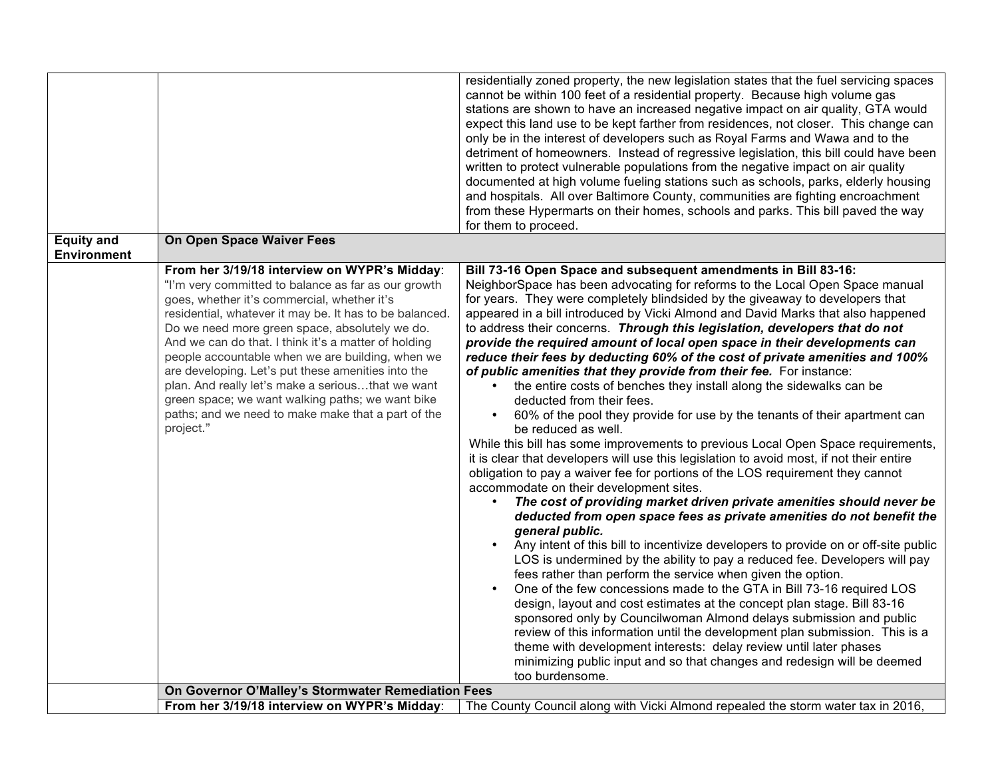| <b>Equity and</b>  | On Open Space Waiver Fees                                                                                                                                                                                                                                                                                                                                                                                                                                                                                                                                                                                     | residentially zoned property, the new legislation states that the fuel servicing spaces<br>cannot be within 100 feet of a residential property. Because high volume gas<br>stations are shown to have an increased negative impact on air quality, GTA would<br>expect this land use to be kept farther from residences, not closer. This change can<br>only be in the interest of developers such as Royal Farms and Wawa and to the<br>detriment of homeowners. Instead of regressive legislation, this bill could have been<br>written to protect vulnerable populations from the negative impact on air quality<br>documented at high volume fueling stations such as schools, parks, elderly housing<br>and hospitals. All over Baltimore County, communities are fighting encroachment<br>from these Hypermarts on their homes, schools and parks. This bill paved the way<br>for them to proceed.                                                                                                                                                                                                                                                                                                                                                                                                                                                                                                                                                                                                                                                                                                                                                                                                                                                                                                                                                                                                                                                                                                                                         |
|--------------------|---------------------------------------------------------------------------------------------------------------------------------------------------------------------------------------------------------------------------------------------------------------------------------------------------------------------------------------------------------------------------------------------------------------------------------------------------------------------------------------------------------------------------------------------------------------------------------------------------------------|--------------------------------------------------------------------------------------------------------------------------------------------------------------------------------------------------------------------------------------------------------------------------------------------------------------------------------------------------------------------------------------------------------------------------------------------------------------------------------------------------------------------------------------------------------------------------------------------------------------------------------------------------------------------------------------------------------------------------------------------------------------------------------------------------------------------------------------------------------------------------------------------------------------------------------------------------------------------------------------------------------------------------------------------------------------------------------------------------------------------------------------------------------------------------------------------------------------------------------------------------------------------------------------------------------------------------------------------------------------------------------------------------------------------------------------------------------------------------------------------------------------------------------------------------------------------------------------------------------------------------------------------------------------------------------------------------------------------------------------------------------------------------------------------------------------------------------------------------------------------------------------------------------------------------------------------------------------------------------------------------------------------------------------------------|
| <b>Environment</b> |                                                                                                                                                                                                                                                                                                                                                                                                                                                                                                                                                                                                               |                                                                                                                                                                                                                                                                                                                                                                                                                                                                                                                                                                                                                                                                                                                                                                                                                                                                                                                                                                                                                                                                                                                                                                                                                                                                                                                                                                                                                                                                                                                                                                                                                                                                                                                                                                                                                                                                                                                                                                                                                                                  |
|                    | From her 3/19/18 interview on WYPR's Midday:<br>"I'm very committed to balance as far as our growth<br>goes, whether it's commercial, whether it's<br>residential, whatever it may be. It has to be balanced.<br>Do we need more green space, absolutely we do.<br>And we can do that. I think it's a matter of holding<br>people accountable when we are building, when we<br>are developing. Let's put these amenities into the<br>plan. And really let's make a seriousthat we want<br>green space; we want walking paths; we want bike<br>paths; and we need to make make that a part of the<br>project." | Bill 73-16 Open Space and subsequent amendments in Bill 83-16:<br>NeighborSpace has been advocating for reforms to the Local Open Space manual<br>for years. They were completely blindsided by the giveaway to developers that<br>appeared in a bill introduced by Vicki Almond and David Marks that also happened<br>to address their concerns. Through this legislation, developers that do not<br>provide the required amount of local open space in their developments can<br>reduce their fees by deducting 60% of the cost of private amenities and 100%<br>of public amenities that they provide from their fee. For instance:<br>the entire costs of benches they install along the sidewalks can be<br>deducted from their fees.<br>60% of the pool they provide for use by the tenants of their apartment can<br>be reduced as well.<br>While this bill has some improvements to previous Local Open Space requirements,<br>it is clear that developers will use this legislation to avoid most, if not their entire<br>obligation to pay a waiver fee for portions of the LOS requirement they cannot<br>accommodate on their development sites.<br>The cost of providing market driven private amenities should never be<br>deducted from open space fees as private amenities do not benefit the<br>general public.<br>Any intent of this bill to incentivize developers to provide on or off-site public<br>LOS is undermined by the ability to pay a reduced fee. Developers will pay<br>fees rather than perform the service when given the option.<br>One of the few concessions made to the GTA in Bill 73-16 required LOS<br>design, layout and cost estimates at the concept plan stage. Bill 83-16<br>sponsored only by Councilwoman Almond delays submission and public<br>review of this information until the development plan submission. This is a<br>theme with development interests: delay review until later phases<br>minimizing public input and so that changes and redesign will be deemed<br>too burdensome. |
|                    | On Governor O'Malley's Stormwater Remediation Fees                                                                                                                                                                                                                                                                                                                                                                                                                                                                                                                                                            |                                                                                                                                                                                                                                                                                                                                                                                                                                                                                                                                                                                                                                                                                                                                                                                                                                                                                                                                                                                                                                                                                                                                                                                                                                                                                                                                                                                                                                                                                                                                                                                                                                                                                                                                                                                                                                                                                                                                                                                                                                                  |
|                    | From her 3/19/18 interview on WYPR's Midday:                                                                                                                                                                                                                                                                                                                                                                                                                                                                                                                                                                  | The County Council along with Vicki Almond repealed the storm water tax in 2016,                                                                                                                                                                                                                                                                                                                                                                                                                                                                                                                                                                                                                                                                                                                                                                                                                                                                                                                                                                                                                                                                                                                                                                                                                                                                                                                                                                                                                                                                                                                                                                                                                                                                                                                                                                                                                                                                                                                                                                 |